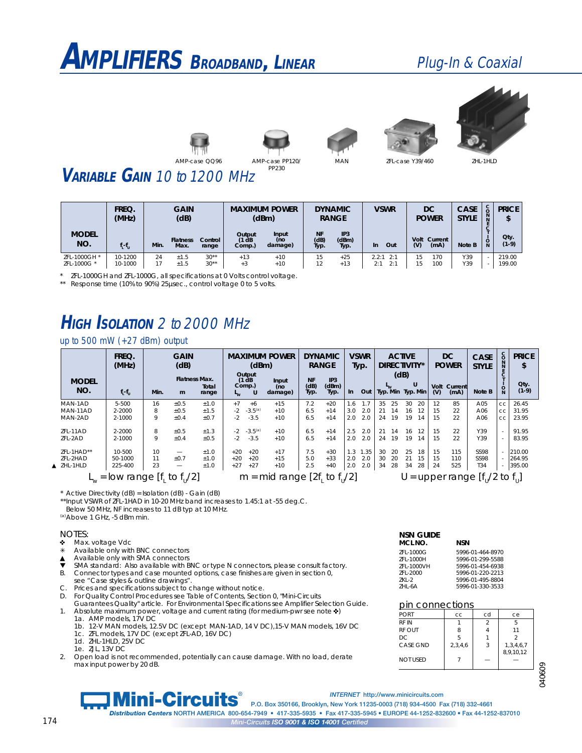# **AMPLIFIERS <sup>B</sup>ROADBAND***,* **<sup>L</sup>INEAR** Plug-In & Coaxial











ZFL-case Y39/460 ZHL-1HLD

### **VARIABLE GAIN** 10 to 1200 MHz

|                           | FREQ.<br>(MHz)     | <b>GAIN</b><br>(dB) |                         |                  |                           | <b>DYNAMIC</b><br><b>MAXIMUM POWER</b><br><b>RANGE</b><br>(dBm) |                           |                                  | <b>VSWR</b>                |          | DC<br><b>POWER</b>   | <b>CASE</b><br><b>STYLE</b> | U<br><b>N</b> | <b>PRICE</b><br>¢<br>ъ |
|---------------------------|--------------------|---------------------|-------------------------|------------------|---------------------------|-----------------------------------------------------------------|---------------------------|----------------------------------|----------------------------|----------|----------------------|-----------------------------|---------------|------------------------|
| <b>MODEL</b><br>NO.       | $f_i - f_u$        | Min.                | <b>Flatness</b><br>Max. | Control<br>range | Output<br>(1 dB<br>Comp.) | Input<br>(no<br>damage)                                         | <b>NF</b><br>(dB)<br>Typ. | IP <sub>3</sub><br>(dBm)<br>Typ. | Out<br>In.                 | (V)      | Volt Current<br>(mA) | Note B                      | O<br>N        | Qty<br>$(1-9)$         |
| ZFL-1000GH<br>ZFL-1000G * | 10-1200<br>10-1000 | 24                  | ±1.5<br>±1.5            | $30**$<br>$30**$ | $+13$<br>$+3$             | $+10$<br>$+10$                                                  | 15<br>$\sim$              | $+25$<br>$+13$                   | 2.2:1<br>2:1<br>2:1<br>2:1 | .5<br>15 | 170<br>100           | Y39<br>Y39                  |               | 219.00<br>199.00       |

\* ZFL-1000GH and ZFL-1000G, all specifications at 0 Volts control voltage.

\*\* Response time (10% to 90%) 25 usec., control voltage 0 to 5 volts.

### **HIGH ISOLATION** 2 to 2000 MHz

#### up to 500 mW (+27 dBm) output

| <b>MODEL</b>         | FREQ.<br>(MHz)                              |      | <b>GAIN</b><br>(dB)<br><b>Flatness Max.</b> |                |                | <b>MAXIMUM POWER</b><br>(dBm)<br>Output<br>(1 dB<br>Input<br>Comp.) |                | <b>DYNAMIC</b><br><b>RANGE</b><br><b>NF</b><br>IP3 |               |         | <b>VSWR</b><br><b>ACTIVE</b><br>DIRECTIVITY*<br>Typ.<br>(dB) |    | U  |    | DC<br><b>POWER</b> |             | <b>CASE</b><br><b>STYLE</b> | $\frac{c}{0}$<br>Ñ | <b>PRICE</b><br>\$<br>Qty. |         |
|----------------------|---------------------------------------------|------|---------------------------------------------|----------------|----------------|---------------------------------------------------------------------|----------------|----------------------------------------------------|---------------|---------|--------------------------------------------------------------|----|----|----|--------------------|-------------|-----------------------------|--------------------|----------------------------|---------|
| NO.                  | $f_l - f_u$                                 | Min. | m                                           | Total<br>range | L <sub>w</sub> | U                                                                   | (no<br>damage) | (dB)<br>Typ.                                       | (dBm)<br>Typ. | $\ln$   | Out   Typ. Min Typ. Min                                      |    |    |    |                    | Volt<br>(V) | Current<br>(mA)             | Note B             | $\circ$                    | $(1-9)$ |
| MAN-1AD              | $5 - 500$                                   | 16   | ±0.5                                        | ±1.0           | $+7$           | $+6$                                                                | $+15$          | 7.2                                                | $+20$         | . . 6   | 1.7                                                          | 35 | 25 | 30 | 20                 | 12          | 85                          | A05                | CC                         | 26.45   |
| MAN-11AD             | 2-2000                                      | 8    | ±0.5                                        | ±1.5           | $-2$           | $-3.5^{(a)}$                                                        | $+10$          | 6.5                                                | $+14$         | 3.0     | 2.0                                                          | 21 | 14 | 16 | 12                 | 15          | 22                          | A06                | CC                         | 31.95   |
| MAN-2AD              | 2-1000                                      | Q    | ±0.4                                        | ±0.7           | $-2$           | $-3.5$                                                              | $+10$          | 6.5                                                | $+14$         | 2.0     | 2.0                                                          | 24 | 19 | 19 | 14                 | 15          | 22                          | A06                | CC                         | 23.95   |
| ZFL-11AD             | 2-2000                                      | 8    | ±0.5                                        | ±1.3           | $-2$           | $-3.5^{(a)}$                                                        | $+10$          | 6.5                                                | $+14$         | 2.5     | 2.0                                                          | 21 | 14 | 16 | 12                 | 15          | 22                          | Y39                | $\sim$                     | 91.95   |
| ZFL-2AD              | 2-1000                                      |      | ±0.4                                        | ±0.5           | $-2$           | $-3.5$                                                              | $+10$          | 6.5                                                | $+14$         | 2.0     | 2.0                                                          | 24 | 19 | 19 | 14                 | 15          | 22                          | Y39                | $\sim$                     | 83.95   |
| ZFL-1HAD**           | 10-500                                      | 10   |                                             | ±1.0           | $+20$          | $+20$                                                               | $+17$          | 7.5                                                | $+30$         | $1.3 -$ | 1.35                                                         | 30 | 20 | 25 | 18                 | 15          | 115                         | <b>SS98</b>        |                            | 210.00  |
| ZFL-2HAD             | 50-1000                                     |      | ±0.7                                        | ±1.0           | $+20$          | $+20$                                                               | $+15$          | 5.0                                                | $+33$         | 2.0     | 2.0                                                          | 30 | 20 | 21 | 15                 | 15          | 110                         | <b>SS98</b>        |                            | 264.95  |
| $\triangle$ ZHL-1HLD | 225-400                                     | 23   | -                                           | ±1.0           | $+27$          | $+27$                                                               | $+10$          | 2.5                                                | $+40$         | 2.0     | 2.0                                                          | 34 | 28 | 34 | 28                 | 24          | 525                         | T <sub>34</sub>    | $\sim$                     | 395.00  |
|                      | $\mu$ = low range [f, to f <sub>u</sub> /2] |      | $m = mid range [2f]$<br>to $f_1/2$          |                |                |                                                                     |                | U = upper range $[f_n/2$ to $f_n]$                 |               |         |                                                              |    |    |    |                    |             |                             |                    |                            |         |

\* Active Directivity (dB) = Isolation (dB) - Gain (dB)

\*\*Input VSWR of ZFL-1HAD in 10-20 MHz band increases to 1.45:1 at -55 deg.C.

Below 50 MHz, NF increases to 11 dB typ at 10 MHz.

(a)Above 1 GHz, -5 dBm min.

### NOTES:<br>• Max

- Max. voltage Vdc
- ✳ Available only with BNC connectors
- ▲ Available only with SMA connectors
- $\blacktriangledown$ SMA standard: Also available with BNC or type N connectors, please consult factory.
- B. Connector types and case mounted options, case finishes are given in section 0, see "Case styles & outline drawings".
- C. Prices and specifications subject to change without notice.
- D. For Quality Control Procedures see Table of Contents, Section 0, "Mini-Circuits
- Guarantees Quality" article. For Environmental Specifications see Amplifier Selection Guide. 1. Absolute maximum power, voltage and current rating (for medium-pwr see note  $\blacklozenge$ )
	- 1a. AMP models, 17V DC 1b. 12-V MAN models, 12.5V DC (except MAN-1AD, 14 V DC),15-V MAN models, 16V DC
	- 1c. ZFL models, 17V DC (except ZFL-AD, 16V DC)
	- 1d. ZHL-1HLD, 25V DC
	- 1e. ZJL, 13V DC
- 2. Open load is not recommended, potentially can cause damage. With no load, derate max input power by 20 dB.

#### **NSN GUIDE MCL NO. NSN**

| 7FL-1000G  | 5996-01-464-8970 |
|------------|------------------|
| 7FI-1000H  | 5996-01-299-5588 |
| ZFL-1000VH | 5996-01-454-6938 |
| 7FI-2000   | 5996-01-220-2213 |
| ZKL-2      | 5996-01-495-8804 |
| 7HI-6A     | 5996-01-330-3533 |
|            |                  |

#### pin connections

| <b>PORT</b>     | CC      | cd | ce            |
|-----------------|---------|----|---------------|
| RF IN           |         |    | 5             |
| <b>RF OUT</b>   | 8       |    | 11            |
| DC              | 5       |    | $\mathcal{P}$ |
| CASE GND        | 2,3,4,6 | 3  | 1,3,4,6,7     |
| <b>NOT USED</b> |         |    | 8,9,10,12     |
|                 |         |    |               |

040609

*INTERNET* **http://www.minicircuits.com Mini-Circuits** P.O. Box 350166, Brooklyn, New York 11235-0003 (718) 934-4500 Fax (718) 332-4661 *Distribution Centers*  **NORTH AMERICA 800-654-7949 • 417-335-5935 • Fax 417-335-5945 • EUROPE 44-1252-832600 • Fax 44-1252-837010** 174 *Mini-Circuits ISO 9001 & ISO 14001 Certified*